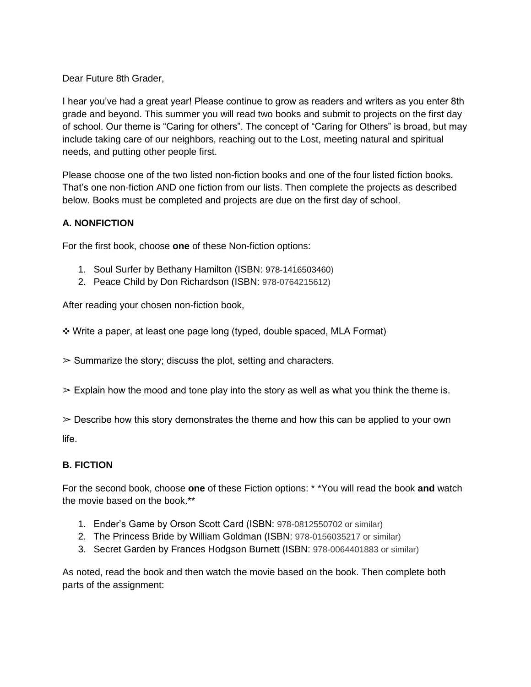Dear Future 8th Grader,

I hear you've had a great year! Please continue to grow as readers and writers as you enter 8th grade and beyond. This summer you will read two books and submit to projects on the first day of school. Our theme is "Caring for others". The concept of "Caring for Others" is broad, but may include taking care of our neighbors, reaching out to the Lost, meeting natural and spiritual needs, and putting other people first.

Please choose one of the two listed non-fiction books and one of the four listed fiction books. That's one non-fiction AND one fiction from our lists. Then complete the projects as described below. Books must be completed and projects are due on the first day of school.

# **A. NONFICTION**

For the first book, choose **one** of these Non-fiction options:

- 1. Soul Surfer by Bethany Hamilton (ISBN: 978-1416503460)
- 2. Peace Child by Don Richardson (ISBN: 978-0764215612)

After reading your chosen non-fiction book,

❖ Write a paper, at least one page long (typed, double spaced, MLA Format)

 $\geq$  Summarize the story; discuss the plot, setting and characters.

 $\geq$  Explain how the mood and tone play into the story as well as what you think the theme is.

 $\geq$  Describe how this story demonstrates the theme and how this can be applied to your own

life.

## **B. FICTION**

For the second book, choose **one** of these Fiction options: \* \*You will read the book **and** watch the movie based on the book.\*\*

- 1. Ender's Game by Orson Scott Card (ISBN: 978-0812550702 or similar)
- 2. The Princess Bride by William Goldman (ISBN: 978-0156035217 or similar)
- 3. Secret Garden by Frances Hodgson Burnett (ISBN: 978-0064401883 or similar)

As noted, read the book and then watch the movie based on the book. Then complete both parts of the assignment: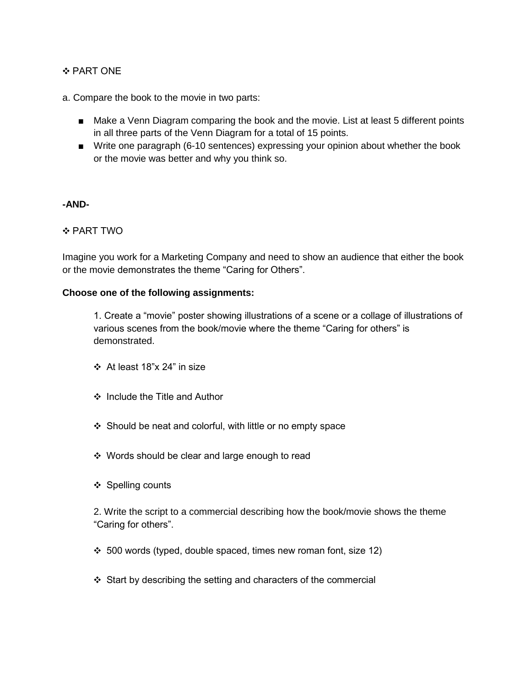## ❖ PART ONE

a. Compare the book to the movie in two parts:

- Make a Venn Diagram comparing the book and the movie. List at least 5 different points in all three parts of the Venn Diagram for a total of 15 points.
- Write one paragraph (6-10 sentences) expressing your opinion about whether the book or the movie was better and why you think so.

#### **-AND-**

## ❖ PART TWO

Imagine you work for a Marketing Company and need to show an audience that either the book or the movie demonstrates the theme "Caring for Others".

### **Choose one of the following assignments:**

1. Create a "movie" poster showing illustrations of a scene or a collage of illustrations of various scenes from the book/movie where the theme "Caring for others" is demonstrated.

- ❖ At least 18"x 24" in size
- ❖ Include the Title and Author
- ❖ Should be neat and colorful, with little or no empty space
- ❖ Words should be clear and large enough to read
- ❖ Spelling counts

2. Write the script to a commercial describing how the book/movie shows the theme "Caring for others".

- ❖ 500 words (typed, double spaced, times new roman font, size 12)
- ❖ Start by describing the setting and characters of the commercial